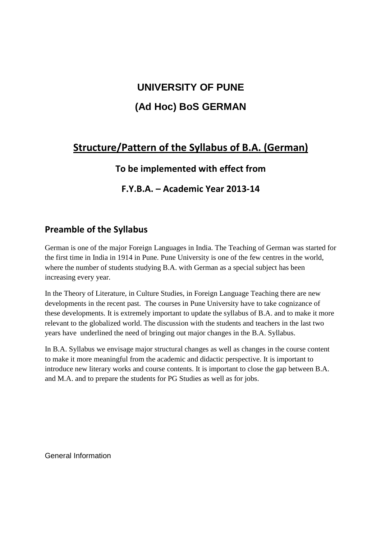# **UNIVERSITY OF PUNE (Ad Hoc) BoS GERMAN**

# **Structure/Pattern of the Syllabus of B.A. (German)**

# **To be implemented with effect from**

# **F.Y.B.A. – Academic Year 2013-14**

# **Preamble of the Syllabus**

German is one of the major Foreign Languages in India. The Teaching of German was started for the first time in India in 1914 in Pune. Pune University is one of the few centres in the world, where the number of students studying B.A. with German as a special subject has been increasing every year.

In the Theory of Literature, in Culture Studies, in Foreign Language Teaching there are new developments in the recent past. The courses in Pune University have to take cognizance of these developments. It is extremely important to update the syllabus of B.A. and to make it more relevant to the globalized world. The discussion with the students and teachers in the last two years have underlined the need of bringing out major changes in the B.A. Syllabus.

In B.A. Syllabus we envisage major structural changes as well as changes in the course content to make it more meaningful from the academic and didactic perspective. It is important to introduce new literary works and course contents. It is important to close the gap between B.A. and M.A. and to prepare the students for PG Studies as well as for jobs.

General Information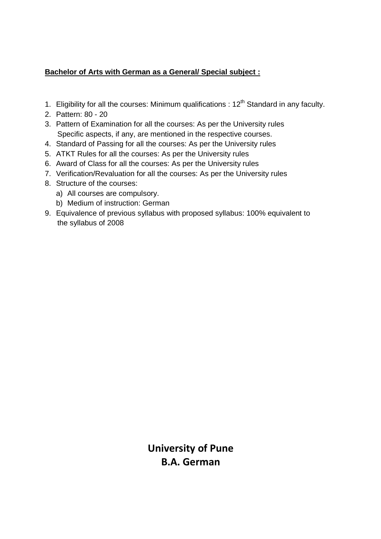# **Bachelor of Arts with German as a General/ Special subject :**

- 1. Eligibility for all the courses: Minimum qualifications :  $12<sup>th</sup>$  Standard in any faculty.
- 2. Pattern: 80 20
- 3. Pattern of Examination for all the courses: As per the University rules Specific aspects, if any, are mentioned in the respective courses.
- 4. Standard of Passing for all the courses: As per the University rules
- 5. ATKT Rules for all the courses: As per the University rules
- 6. Award of Class for all the courses: As per the University rules
- 7. Verification/Revaluation for all the courses: As per the University rules
- 8. Structure of the courses:
	- a) All courses are compulsory.
	- b) Medium of instruction: German
- 9. Equivalence of previous syllabus with proposed syllabus: 100% equivalent to the syllabus of 2008

**University of Pune B.A. German**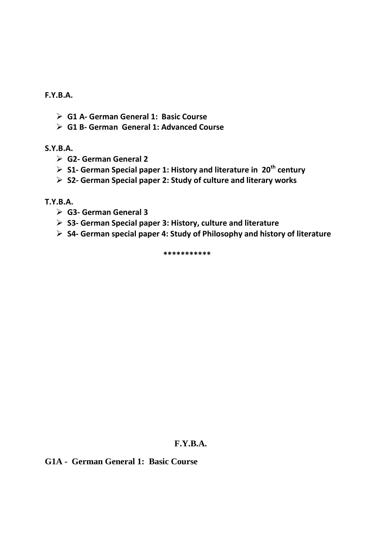**F.Y.B.A.** 

- **G1 A- German General 1: Basic Course**
- **G1 B- German General 1: Advanced Course**

## **S.Y.B.A.**

- **G2- German General 2**
- **S1- German Special paper 1: History and literature in 20th century**
- **S2- German Special paper 2: Study of culture and literary works**

**T.Y.B.A.** 

- **G3- German General 3**
- **S3- German Special paper 3: History, culture and literature**
- **S4- German special paper 4: Study of Philosophy and history of literature**

 **\*\*\*\*\*\*\*\*\*\*\*** 

## **F.Y.B.A.**

## **G1A - German General 1: Basic Course**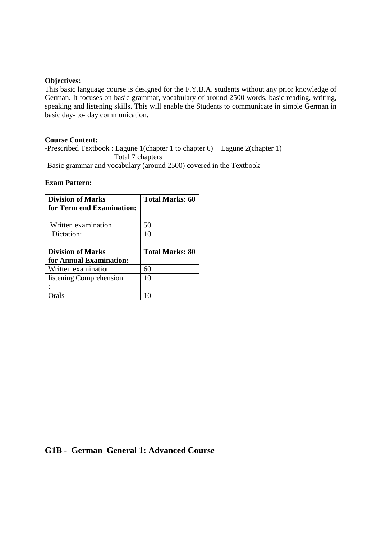### **Objectives:**

This basic language course is designed for the F.Y.B.A. students without any prior knowledge of German. It focuses on basic grammar, vocabulary of around 2500 words, basic reading, writing, speaking and listening skills. This will enable the Students to communicate in simple German in basic day- to- day communication.

### **Course Content:**

-Prescribed Textbook : Lagune 1(chapter 1 to chapter 6) + Lagune 2(chapter 1) Total 7 chapters

-Basic grammar and vocabulary (around 2500) covered in the Textbook

### **Exam Pattern:**

| <b>Division of Marks</b><br>for Term end Examination: | <b>Total Marks: 60</b> |
|-------------------------------------------------------|------------------------|
| Written examination                                   | 50                     |
| Dictation:                                            | 10                     |
|                                                       |                        |
| <b>Division of Marks</b><br>for Annual Examination:   | <b>Total Marks: 80</b> |
| Written examination                                   | 60                     |
| listening Comprehension                               | 10                     |

## **G1B - German General 1: Advanced Course**